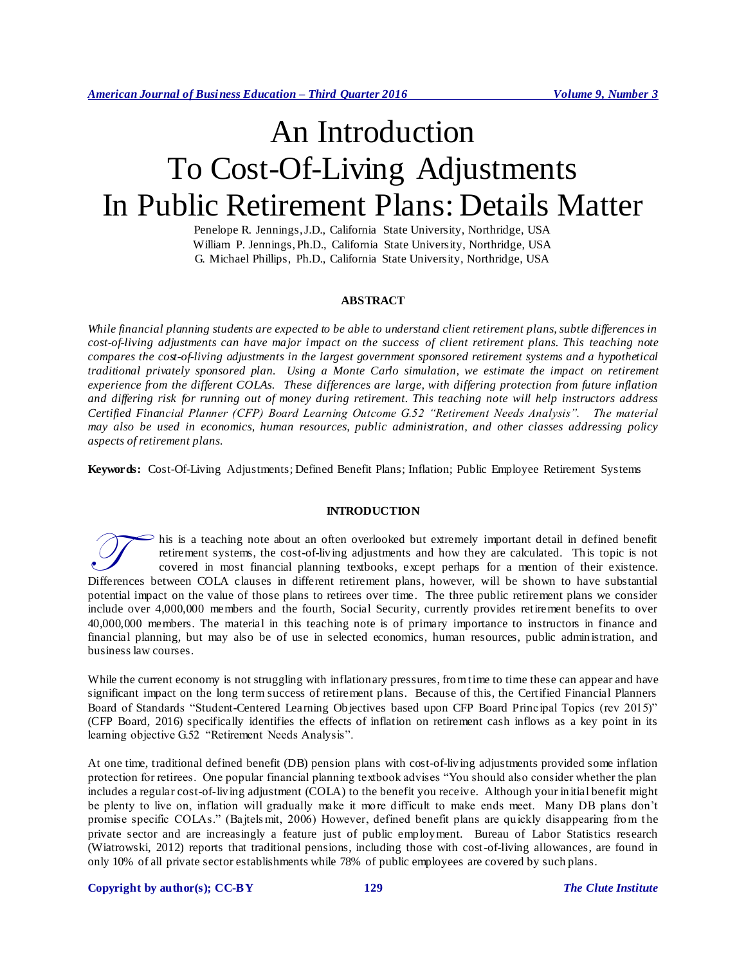# An Introduction To Cost-Of-Living Adjustments In Public Retirement Plans: Details Matter

Penelope R. Jennings, J.D., California State University, Northridge, USA William P. Jennings, Ph.D., California State University, Northridge, USA G. Michael Phillips, Ph.D., California State University, Northridge, USA

# **ABSTRACT**

*While financial planning students are expected to be able to understand client retirement plans, subtle differences in cost-of-living adjustments can have major impact on the success of client retirement plans. This teaching note compares the cost-of-living adjustments in the largest government sponsored retirement systems and a hypothetical traditional privately sponsored plan. Using a Monte Carlo simulation, we estimate the impact on retirement experience from the different COLAs. These differences are large, with differing protection from future inflation and differing risk for running out of money during retirement. This teaching note will help instructors address Certified Financial Planner (CFP) Board Learning Outcome G.52 "Retirement Needs Analysis". The material may also be used in economics, human resources, public administration, and other classes addressing policy aspects of retirement plans.*

**Keywords:** Cost-Of-Living Adjustments; Defined Benefit Plans; Inflation; Public Employee Retirement Systems

#### **INTRODUCTION**

his is a teaching note about an often overlooked but extremely important detail in defined benefit retirement systems, the cost-of-living adjustments and how they are calculated. This topic is not covered in most financial planning textbooks, except perhaps for a mention of their existence. This is a teaching note about an often overlooked but extremely important detail in defined benefit retirement systems, the cost-of-living adjustments and how they are calculated. This topic is not covered in most financia potential impact on the value of those plans to retirees over time. The three public retirement plans we consider include over 4,000,000 members and the fourth, Social Security, currently provides retirement benefits to over 40,000,000 members. The material in this teaching note is of primary importance to instructors in finance and financial planning, but may also be of use in selected economics, human resources, public administration, and business law courses.

While the current economy is not struggling with inflationary pressures, from time to time these can appear and have significant impact on the long term success of retirement plans. Because of this, the Certified Financial Planners Board of Standards "Student-Centered Learning Objectives based upon CFP Board Principal Topics (rev 2015)" (CFP Board, 2016) specifically identifies the effects of inflation on retirement cash inflows as a key point in its learning objective G.52 "Retirement Needs Analysis".

At one time, traditional defined benefit (DB) pension plans with cost-of-living adjustments provided some inflation protection for retirees. One popular financial planning textbook advises "You should also consider whether the plan includes a regular cost-of-living adjustment (COLA) to the benefit you receive. Although your initial benefit might be plenty to live on, inflation will gradually make it more difficult to make ends meet. Many DB plans don't promise specific COLAs." (Bajtels mit, 2006) However, defined benefit plans are quickly disappearing from the private sector and are increasingly a feature just of public employment. Bureau of Labor Statistics research (Wiatrowski, 2012) reports that traditional pensions, including those with cost-of-living allowances, are found in only 10% of all private sector establishments while 78% of public employees are covered by such plans.

## **Copyright by author(s); [CC-BY](http://creativecommons.org/licenses/by/3.0/) 129** *[The Clute Institute](http://www.cluteinstitute.com/)*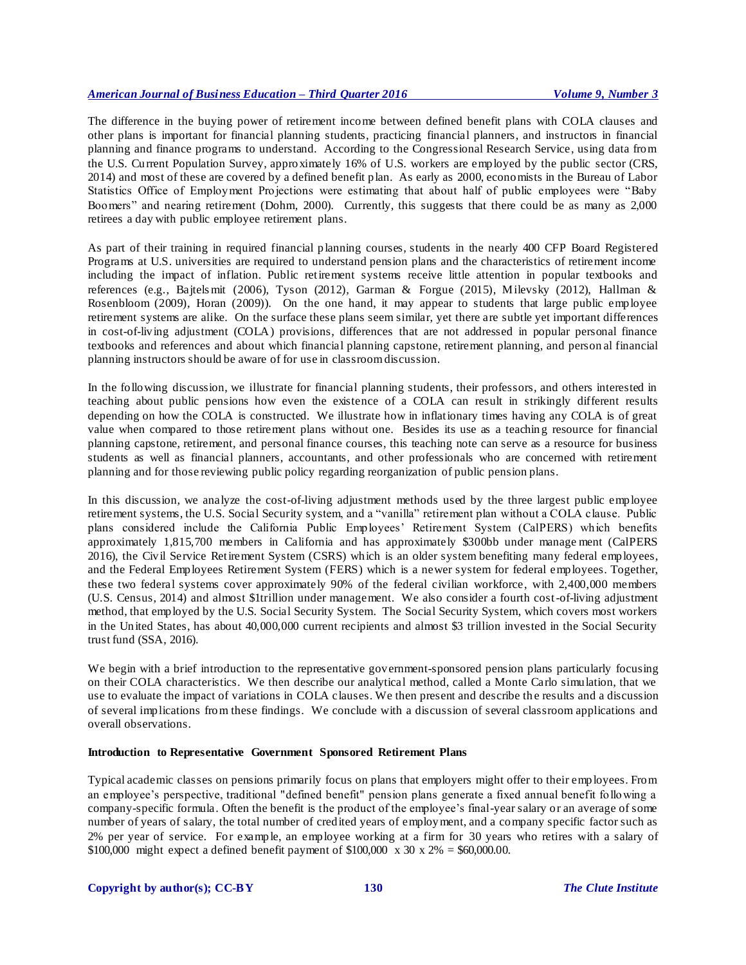The difference in the buying power of retirement income between defined benefit plans with COLA clauses and other plans is important for financial planning students, practicing financial planners, and instructors in financial planning and finance programs to understand. According to the Congressional Research Service, using data from the U.S. Current Population Survey, approximately 16% of U.S. workers are employed by the public sector (CRS, 2014) and most of these are covered by a defined benefit plan. As early as 2000, economists in the Bureau of Labor Statistics Office of Employment Projections were estimating that about half of public employees were "Baby Boomers" and nearing retirement (Dohm, 2000). Currently, this suggests that there could be as many as 2,000 retirees a day with public employee retirement plans.

As part of their training in required financial planning courses, students in the nearly 400 CFP Board Registered Programs at U.S. universities are required to understand pension plans and the characteristics of retirement income including the impact of inflation. Public retirement systems receive little attention in popular textbooks and references (e.g., Bajtels mit (2006), Tyson (2012), Garman & Forgue (2015), Milevsky (2012), Hallman & Rosenbloom (2009), Horan (2009)). On the one hand, it may appear to students that large public employee retirement systems are alike. On the surface these plans seem similar, yet there are subtle yet important differences in cost-of-living adjustment (COLA) provisions, differences that are not addressed in popular personal finance textbooks and references and about which financial planning capstone, retirement planning, and person al financial planning instructors should be aware of for use in classroom discussion.

In the following discussion, we illustrate for financial planning students, their professors, and others interested in teaching about public pensions how even the existence of a COLA can result in strikingly different results depending on how the COLA is constructed. We illustrate how in inflationary times having any COLA is of great value when compared to those retirement plans without one. Besides its use as a teachin g resource for financial planning capstone, retirement, and personal finance courses, this teaching note can serve as a resource for business students as well as financial planners, accountants, and other professionals who are concerned with retirement planning and for those reviewing public policy regarding reorganization of public pension plans.

In this discussion, we analyze the cost-of-living adjustment methods used by the three largest public employee retirement systems, the U.S. Social Security system, and a "vanilla" retirement plan without a COLA clause. Public plans considered include the California Public Employees' Retirement System (CalPERS) which benefits approximately 1,815,700 members in California and has approximately \$300bb under manage ment (CalPERS 2016), the Civil Service Retirement System (CSRS) which is an older system benefiting many federal employees, and the Federal Employees Retirement System (FERS) which is a newer system for federal employees. Together, these two federal systems cover approximately 90% of the federal civilian workforce, with 2,400,000 members (U.S. Census, 2014) and almost \$1trillion under management. We also consider a fourth cost-of-living adjustment method, that employed by the U.S. Social Security System. The Social Security System, which covers most workers in the United States, has about 40,000,000 current recipients and almost \$3 trillion invested in the Social Security trust fund (SSA, 2016).

We begin with a brief introduction to the representative government-sponsored pension plans particularly focusing on their COLA characteristics. We then describe our analytical method, called a Monte Carlo simulation, that we use to evaluate the impact of variations in COLA clauses. We then present and describe the results and a discussion of several implications from these findings. We conclude with a discussion of several classroom applications and overall observations.

#### **Introduction to Representative Government Sponsored Retirement Plans**

Typical academic classes on pensions primarily focus on plans that employers might offer to their employees. From an employee's perspective, traditional "defined benefit" pension plans generate a fixed annual benefit following a company-specific formula. Often the benefit is the product of the employee's final-year salary or an average of some number of years of salary, the total number of credited years of employment, and a company specific factor such as 2% per year of service. For example, an employee working at a firm for 30 years who retires with a salary of \$100,000 might expect a defined benefit payment of \$100,000 x 30 x 2% = \$60,000.00.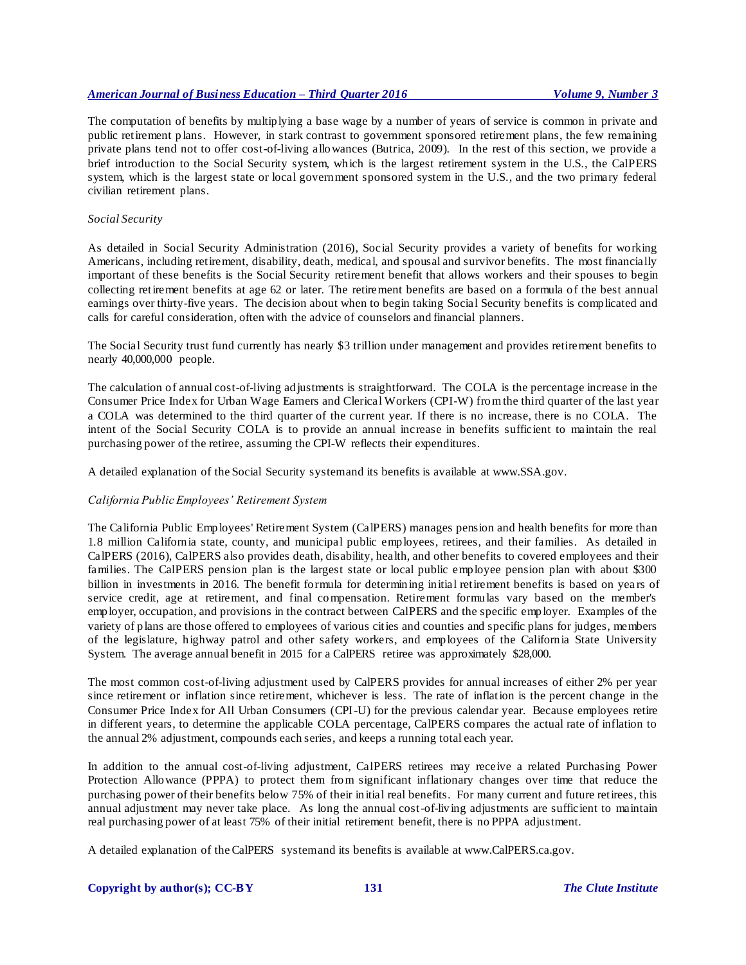The computation of benefits by multiplying a base wage by a number of years of service is common in private and public retirement p lans. However, in stark contrast to government sponsored retirement plans, the few remaining private plans tend not to offer cost-of-living allowances (Butrica, 2009). In the rest of this section, we provide a brief introduction to the Social Security system, which is the largest retirement system in the U.S., the CalPERS system, which is the largest state or local government sponsored system in the U.S., and the two primary federal civilian retirement plans.

## *Social Security*

As detailed in Social Security Administration (2016), Social Security provides a variety of benefits for working Americans, including retirement, disability, death, medical, and spousal and survivor benefits. The most financially important of these benefits is the Social Security retirement benefit that allows workers and their spouses to begin collecting retirement benefits at age 62 or later. The retirement benefits are based on a formula of the best annual earnings over thirty-five years. The decision about when to begin taking Social Security benefits is complicated and calls for careful consideration, often with the advice of counselors and financial planners.

The Social Security trust fund currently has nearly \$3 trillion under management and provides retirement benefits to nearly 40,000,000 people.

The calculation of annual cost-of-living adjustments is straightforward. The COLA is the percentage increase in the Consumer Price Index for Urban Wage Earners and Clerical Workers (CPI-W) from the third quarter of the last year a COLA was determined to the third quarter of the current year. If there is no increase, there is no COLA. The intent of the Social Security COLA is to provide an annual increase in benefits sufficient to maintain the real purchasing power of the retiree, assuming the CPI-W reflects their expenditures.

A detailed explanation of the Social Security system and its benefits is available at www.SSA.gov.

## *California Public Employees' Retirement System*

The California Public Employees' Retirement System (CalPERS) manages pension and health benefits for more than 1.8 million California state, county, and municipal public employees, retirees, and their families. As detailed in CalPERS (2016), CalPERS also provides death, disability, health, and other benefits to covered employees and their families. The CalPERS pension plan is the largest state or local public employee pension plan with about \$300 billion in investments in 2016. The benefit formula for determining initial retirement benefits is based on years of service credit, age at retirement, and final compensation. Retirement formulas vary based on the member's employer, occupation, and provisions in the contract between CalPERS and the specific employer. Examples of the variety of plans are those offered to employees of various cities and counties and specific plans for judges, members of the legislature, highway patrol and other safety workers, and employees of the California State University System. The average annual benefit in 2015 for a CalPERS retiree was approximately \$28,000.

The most common cost-of-living adjustment used by CalPERS provides for annual increases of either 2% per year since retirement or inflation since retirement, whichever is less. The rate of inflation is the percent change in the Consumer Price Index for All Urban Consumers (CPI-U) for the previous calendar year. Because employees retire in different years, to determine the applicable COLA percentage, CalPERS compares the actual rate of inflation to the annual 2% adjustment, compounds each series, and keeps a running total each year.

In addition to the annual cost-of-living adjustment, CalPERS retirees may receive a related Purchasing Power Protection Allowance (PPPA) to protect them from significant inflationary changes over time that reduce the purchasing power of their benefits below 75% of their initial real benefits. For many current and future retirees, this annual adjustment may never take place. As long the annual cost-of-living adjustments are sufficient to maintain real purchasing power of at least 75% of their initial retirement benefit, there is no PPPA adjustment.

A detailed explanation of the CalPERS system and its benefits is available at www.CalPERS.ca.gov.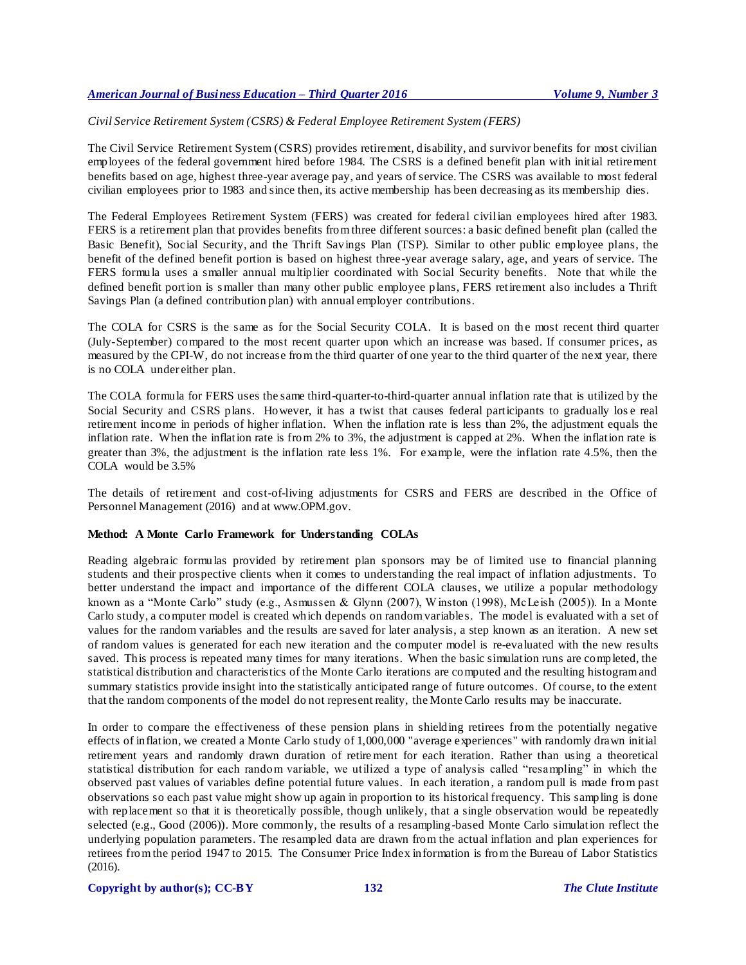# *Civil Service Retirement System (CSRS) & Federal Employee Retirement System (FERS)*

The Civil Service Retirement System (CSRS) provides retirement, disability, and survivor benefits for most civilian employees of the federal government hired before 1984. The CSRS is a defined benefit plan with initial retirement benefits based on age, highest three-year average pay, and years of service. The CSRS was available to most federal civilian employees prior to 1983 and since then, its active membership has been decreasing as its membership dies.

The Federal Employees Retirement System (FERS) was created for federal civilian employees hired after 1983. FERS is a retirement plan that provides benefits from three different sources: a basic defined benefit plan (called the Basic Benefit), Social Security, and the Thrift Savings Plan (TSP). Similar to other public employee plans, the benefit of the defined benefit portion is based on highest three-year average salary, age, and years of service. The FERS formula uses a smaller annual multiplier coordinated with Social Security benefits. Note that while the defined benefit portion is s maller than many other public employee plans, FERS retirement also includes a Thrift Savings Plan (a defined contribution plan) with annual employer contributions.

The COLA for CSRS is the same as for the Social Security COLA. It is based on the most recent third quarter (July-September) compared to the most recent quarter upon which an increase was based. If consumer prices, as measured by the CPI-W, do not increase from the third quarter of one year to the third quarter of the next year, there is no COLA under either plan.

The COLA formula for FERS uses the same third-quarter-to-third-quarter annual inflation rate that is utilized by the Social Security and CSRS plans. However, it has a twist that causes federal participants to gradually los e real retirement income in periods of higher inflation. When the inflation rate is less than 2%, the adjustment equals the inflation rate. When the inflation rate is from 2% to 3%, the adjustment is capped at 2%. When the inflation rate is greater than 3%, the adjustment is the inflation rate less 1%. For example, were the inflation rate 4.5%, then the COLA would be 3.5%

The details of retirement and cost-of-living adjustments for CSRS and FERS are described in the Office of Personnel Management (2016) and at www.OPM.gov.

## **Method: A Monte Carlo Framework for Understanding COLAs**

Reading algebraic formulas provided by retirement plan sponsors may be of limited use to financial planning students and their prospective clients when it comes to understanding the real impact of inflation adjustments. To better understand the impact and importance of the different COLA clauses, we utilize a popular methodology known as a "Monte Carlo" study (e.g., Asmussen & Glynn (2007), W inston (1998), McLeish (2005)). In a Monte Carlo study, a computer model is created which depends on random variables. The model is evaluated with a set of values for the random variables and the results are saved for later analysis, a step known as an iteration. A new set of random values is generated for each new iteration and the computer model is re-evaluated with the new results saved. This process is repeated many times for many iterations. When the basic simulation runs are completed, the statistical distribution and characteristics of the Monte Carlo iterations are computed and the resulting histogram and summary statistics provide insight into the statistically anticipated range of future outcomes. Of course, to the extent that the random components of the model do not represent reality, the Monte Carlo results may be inaccurate.

In order to compare the effectiveness of these pension plans in shielding retirees from the potentially negative effects of inflation, we created a Monte Carlo study of 1,000,000 "average experiences" with randomly drawn initial retirement years and randomly drawn duration of retire ment for each iteration. Rather than using a theoretical statistical distribution for each random variable, we utilized a type of analysis called "resampling" in which the observed past values of variables define potential future values. In each iteration , a random pull is made from past observations so each past value might show up again in proportion to its historical frequency. This sampling is done with replacement so that it is theoretically possible, though unlikely, that a single observation would be repeatedly selected (e.g., Good (2006)). More commonly, the results of a resampling-based Monte Carlo simulation reflect the underlying population parameters. The resampled data are drawn from the actual inflation and plan experiences for retirees from the period 1947 to 2015. The Consumer Price Index information is from the Bureau of Labor Statistics (2016).

#### **Copyright by author(s); [CC-BY](http://creativecommons.org/licenses/by/3.0/) 132** *[The Clute Institute](http://www.cluteinstitute.com/)*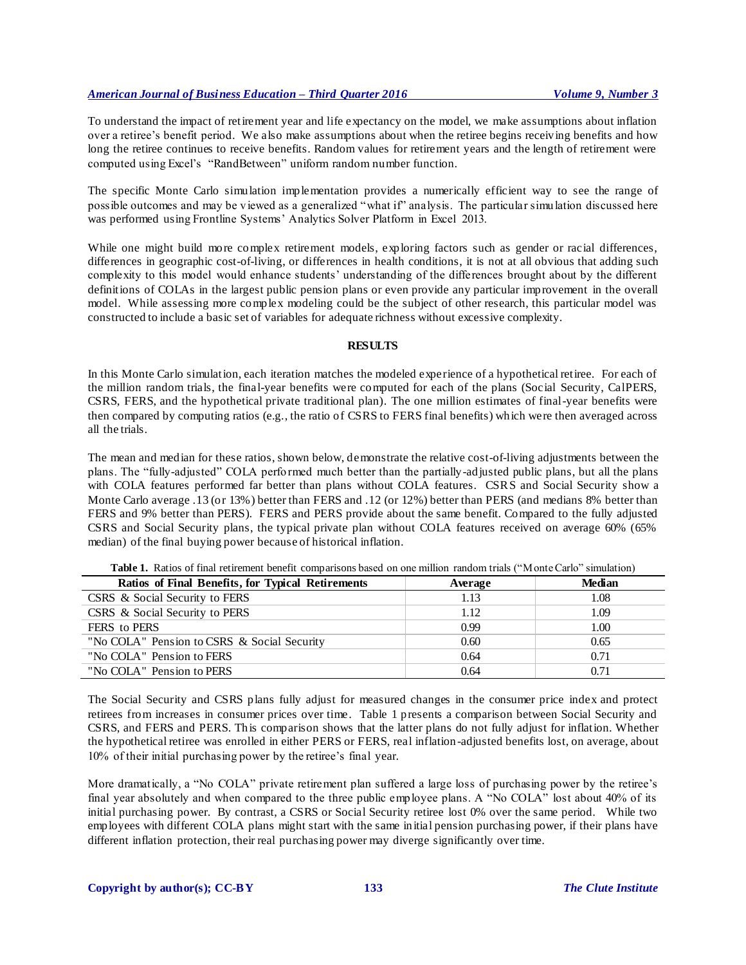To understand the impact of retirement year and life expectancy on the model, we make assumptions about inflation over a retiree's benefit period. We also make assumptions about when the retiree begins receiving benefits and how long the retiree continues to receive benefits. Random values for retirement years and the length of retirement were computed using Excel's "RandBetween" uniform random number function.

The specific Monte Carlo simulation implementation provides a numerically efficient way to see the range of possible outcomes and may be viewed as a generalized "what if" analysis. The particular simulation discussed here was performed using Frontline Systems' Analytics Solver Platform in Excel 2013.

While one might build more complex retirement models, exploring factors such as gender or racial differences, differences in geographic cost-of-living, or differences in health conditions, it is not at all obvious that adding such complexity to this model would enhance students' understanding of the differences brought about by the different definitions of COLAs in the largest public pension plans or even provide any particular improvement in the overall model. While assessing more complex modeling could be the subject of other research, this particular model was constructed to include a basic set of variables for adequate richness without excessive complexity.

## **RESULTS**

In this Monte Carlo simulation, each iteration matches the modeled experience of a hypothetical retiree. For each of the million random trials, the final-year benefits were computed for each of the plans (Social Security, CalPERS, CSRS, FERS, and the hypothetical private traditional plan). The one million estimates of final-year benefits were then compared by computing ratios (e.g., the ratio of CSRS to FERS final benefits) which were then averaged across all the trials.

The mean and median for these ratios, shown below, demonstrate the relative cost-of-living adjustments between the plans. The "fully-adjusted" COLA performed much better than the partially-adjusted public plans, but all the plans with COLA features performed far better than plans without COLA features. CSRS and Social Security show a Monte Carlo average .13 (or 13%) better than FERS and .12 (or 12%) better than PERS (and medians 8% better than FERS and 9% better than PERS). FERS and PERS provide about the same benefit. Compared to the fully adjusted CSRS and Social Security plans, the typical private plan without COLA features received on average 60% (65% median) of the final buying power because of historical inflation.

| Ratios of Final Benefits, for Typical Retirements | Average | <b>Median</b> |
|---------------------------------------------------|---------|---------------|
| CSRS & Social Security to FERS                    | 1.13    | 1.08          |
| CSRS & Social Security to PERS                    | 1.12    | 1.09          |
| FERS to PERS                                      | 0.99    | 1.00          |
| "No COLA" Pension to CSRS & Social Security       | 0.60    | 0.65          |
| "No COLA" Pension to FERS                         | 0.64    | 0.71          |
| "No COLA" Pension to PERS                         | 0.64    | 0.71          |

Table 1. Ratios of final retirement benefit comparisons based on one million random trials ("Monte Carlo" simulation)

The Social Security and CSRS plans fully adjust for measured changes in the consumer price index and protect retirees from increases in consumer prices over time. Table 1 presents a comparison between Social Security and CSRS, and FERS and PERS. This comparison shows that the latter plans do not fully adjust for inflation. Whether the hypothetical retiree was enrolled in either PERS or FERS, real inflation-adjusted benefits lost, on average, about 10% of their initial purchasing power by the retiree's final year.

More dramatically, a "No COLA" private retirement plan suffered a large loss of purchasing power by the retiree's final year absolutely and when compared to the three public employee plans. A "No COLA" lost about 40% of its initial purchasing power. By contrast, a CSRS or Social Security retiree lost 0% over the same period. While two employees with different COLA plans might start with the same initial pension purchasing power, if their plans have different inflation protection, their real purchasing power may diverge significantly over time.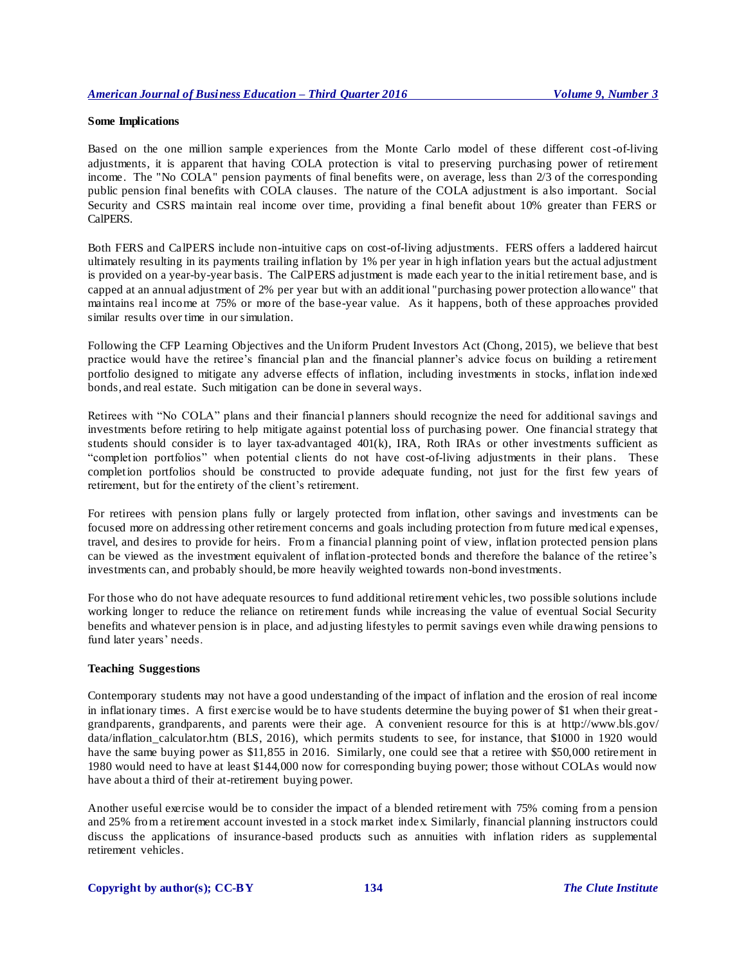#### **Some Implications**

Based on the one million sample experiences from the Monte Carlo model of these different cost-of-living adjustments, it is apparent that having COLA protection is vital to preserving purchasing power of retirement income. The "No COLA" pension payments of final benefits were, on average, less than 2/3 of the corresponding public pension final benefits with COLA clauses. The nature of the COLA adjustment is also important. Social Security and CSRS maintain real income over time, providing a final benefit about 10% greater than FERS or CalPERS.

Both FERS and CalPERS include non-intuitive caps on cost-of-living adjustments. FERS offers a laddered haircut ultimately resulting in its payments trailing inflation by 1% per year in high inflation years but the actual adjustment is provided on a year-by-year basis. The CalPERS adjustment is made each year to the initial retirement base, and is capped at an annual adjustment of 2% per year but with an additional "purchasing power protection allowance" that maintains real income at 75% or more of the base-year value. As it happens, both of these approaches provided similar results over time in our simulation.

Following the CFP Learning Objectives and the Uniform Prudent Investors Act (Chong, 2015), we believe that best practice would have the retiree's financial plan and the financial planner's advice focus on building a retirement portfolio designed to mitigate any adverse effects of inflation, including investments in stocks, inflation indexed bonds, and real estate. Such mitigation can be done in several ways.

Retirees with "No COLA" plans and their financial planners should recognize the need for additional savings and investments before retiring to help mitigate against potential loss of purchasing power. One financial strategy that students should consider is to layer tax-advantaged 401(k), IRA, Roth IRAs or other investments sufficient as "completion portfolios" when potential clients do not have cost-of-living adjustments in their plans. These completion portfolios should be constructed to provide adequate funding, not just for the first few years of retirement, but for the entirety of the client's retirement.

For retirees with pension plans fully or largely protected from inflation, other savings and investments can be focused more on addressing other retirement concerns and goals including protection from future medical expenses, travel, and desires to provide for heirs. From a financial planning point of view, inflation protected pension plans can be viewed as the investment equivalent of inflation-protected bonds and therefore the balance of the retiree's investments can, and probably should, be more heavily weighted towards non-bond investments.

For those who do not have adequate resources to fund additional retirement vehicles, two possible solutions include working longer to reduce the reliance on retirement funds while increasing the value of eventual Social Security benefits and whatever pension is in place, and adjusting lifestyles to permit savings even while drawing pensions to fund later years' needs.

#### **Teaching Suggestions**

Contemporary students may not have a good understanding of the impact of inflation and the erosion of real income in inflationary times. A first exercise would be to have students determine the buying power of \$1 when their greatgrandparents, grandparents, and parents were their age. A convenient resource for this is at http://www.bls.gov/ data/inflation\_calculator.htm (BLS, 2016), which permits students to see, for instance, that \$1000 in 1920 would have the same buying power as \$11,855 in 2016. Similarly, one could see that a retiree with \$50,000 retirement in 1980 would need to have at least \$144,000 now for corresponding buying power; those without COLAs would now have about a third of their at-retirement buying power.

Another useful exercise would be to consider the impact of a blended retirement with 75% coming from a pension and 25% from a retirement account invested in a stock market index. Similarly, financial planning instructors could discuss the applications of insurance-based products such as annuities with inflation riders as supplemental retirement vehicles.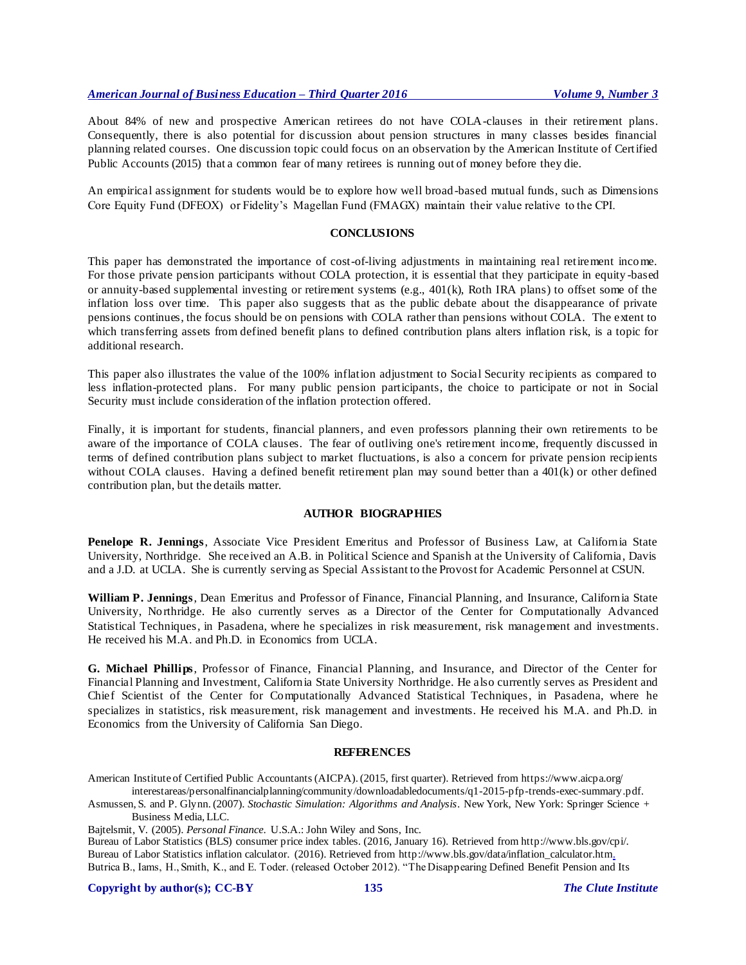About 84% of new and prospective American retirees do not have COLA-clauses in their retirement plans. Consequently, there is also potential for discussion about pension structures in many classes besides financial planning related courses. One discussion topic could focus on an observation by the American Institute of Certified Public Accounts (2015) that a common fear of many retirees is running out of money before they die.

An empirical assignment for students would be to explore how well broad-based mutual funds, such as Dimensions Core Equity Fund (DFEOX) or Fidelity's Magellan Fund (FMAGX) maintain their value relative to the CPI.

# **CONCLUSIONS**

This paper has demonstrated the importance of cost-of-living adjustments in maintaining real retirement income. For those private pension participants without COLA protection, it is essential that they participate in equity -based or annuity-based supplemental investing or retirement systems (e.g.,  $401(k)$ , Roth IRA plans) to offset some of the inflation loss over time. This paper also suggests that as the public debate about the disappearance of private pensions continues, the focus should be on pensions with COLA rather than pensions without COLA. The extent to which transferring assets from defined benefit plans to defined contribution plans alters inflation risk, is a topic for additional research.

This paper also illustrates the value of the 100% inflation adjustment to Social Security recipients as compared to less inflation-protected plans. For many public pension participants, the choice to participate or not in Social Security must include consideration of the inflation protection offered.

Finally, it is important for students, financial planners, and even professors planning their own retirements to be aware of the importance of COLA clauses. The fear of outliving one's retirement income, frequently discussed in terms of defined contribution plans subject to market fluctuations, is also a concern for private pension recipients without COLA clauses. Having a defined benefit retirement plan may sound better than a 401(k) or other defined contribution plan, but the details matter.

#### **AUTHOR BIOGRAPHIES**

**Penelope R. Jennings**, Associate Vice President Emeritus and Professor of Business Law, at California State University, Northridge. She received an A.B. in Political Science and Spanish at the University of California, Davis and a J.D. at UCLA. She is currently serving as Special Assistant to the Provost for Academic Personnel at CSUN.

**William P. Jennings**, Dean Emeritus and Professor of Finance, Financial Planning, and Insurance, California State University, Northridge. He also currently serves as a Director of the Center for Computationally Advanced Statistical Techniques, in Pasadena, where he specializes in risk measurement, risk management and investments. He received his M.A. and Ph.D. in Economics from UCLA.

**G. Michael Phillips**, Professor of Finance, Financial Planning, and Insurance, and Director of the Center for Financial Planning and Investment, California State University Northridge. He also currently serves as President and Chief Scientist of the Center for Computationally Advanced Statistical Techniques, in Pasadena, where he specializes in statistics, risk measurement, risk management and investments. He received his M.A. and Ph.D. in Economics from the University of California San Diego.

#### **REFERENCES**

American Institute of Certified Public Accountants (AICPA). (2015, first quarter). Retrieved from https://www.aicpa.org/ interestareas/personalfinancialplanning/community/downloadabledocuments/q1-2015-pfp-trends-exec-summary.pdf.

Asmussen, S. and P. Glynn. (2007). *Stochastic Simulation: Algorithms and Analysis*. New York, New York: Springer Science + Business Media, LLC.

Bajtelsmit, V. (2005). *Personal Finance*. U.S.A.: John Wiley and Sons, Inc.

Bureau of Labor Statistics (BLS) consumer price index tables. (2016, January 16). Retrieved from http://www.bls.gov/cpi/. Bureau of Labor Statistics inflation calculator. (2016). Retrieved from http://www.bls.gov/data/inflation\_calculator.htm. Butrica B., Iams, H., Smith, K., and E. Toder. (released October 2012). "The Disappearing Defined Benefit Pension and Its

**Copyright by author(s); [CC-BY](http://creativecommons.org/licenses/by/3.0/) 135** *[The Clute Institute](http://www.cluteinstitute.com/)*